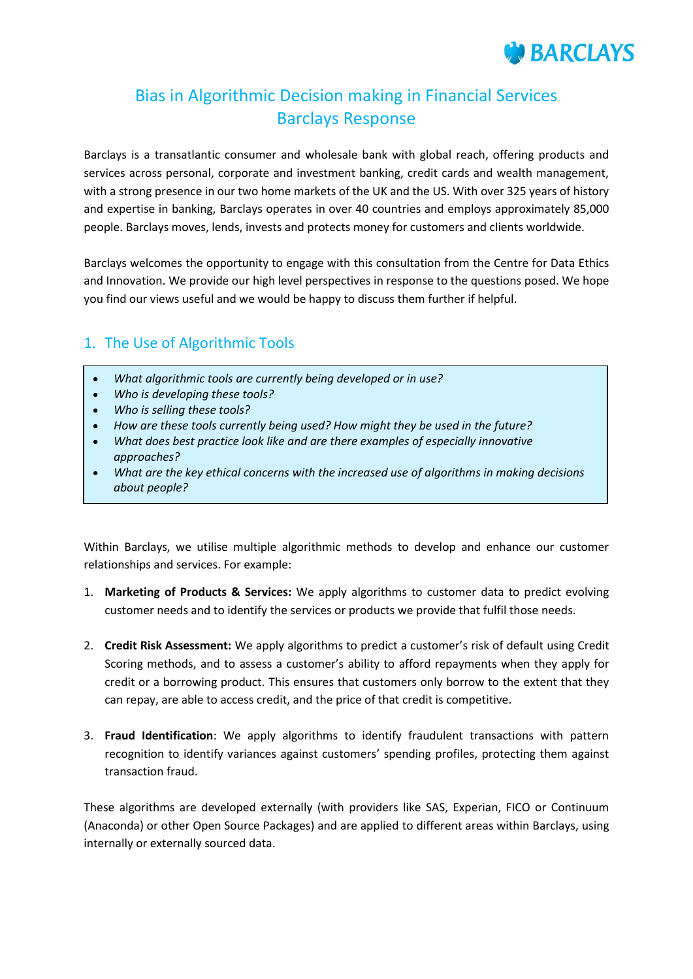

# Bias in Algorithmic Decision making in Financial Services Barclays Response

Barclays is a transatlantic consumer and wholesale bank with global reach, offering products and services across personal, corporate and investment banking, credit cards and wealth management, with a strong presence in our two home markets of the UK and the US. With over 325 years of history and expertise in banking, Barclays operates in over 40 countries and employs approximately 85,000 people. Barclays moves, lends, invests and protects money for customers and clients worldwide.

Barclays welcomes the opportunity to engage with this consultation from the Centre for Data Ethics and Innovation. We provide our high level perspectives in response to the questions posed. We hope you find our views useful and we would be happy to discuss them further if helpful.

### 1. The Use of Algorithmic Tools

- *What algorithmic tools are currently being developed or in use?*
- *Who is developing these tools?*
- *Who is selling these tools?*
- *How are these tools currently being used? How might they be used in the future?*
- *What does best practice look like and are there examples of especially innovative approaches?*
- *What are the key ethical concerns with the increased use of algorithms in making decisions about people?*

Within Barclays, we utilise multiple algorithmic methods to develop and enhance our customer relationships and services. For example:

- 1. **Marketing of Products & Services:** We apply algorithms to customer data to predict evolving customer needs and to identify the services or products we provide that fulfil those needs.
- 2. **Credit Risk Assessment:** We apply algorithms to predict a customer's risk of default using Credit Scoring methods, and to assess a customer's ability to afford repayments when they apply for credit or a borrowing product. This ensures that customers only borrow to the extent that they can repay, are able to access credit, and the price of that credit is competitive.
- 3. **Fraud Identification**: We apply algorithms to identify fraudulent transactions with pattern recognition to identify variances against customers' spending profiles, protecting them against transaction fraud.

These algorithms are developed externally (with providers like SAS, Experian, FICO or Continuum (Anaconda) or other Open Source Packages) and are applied to different areas within Barclays, using internally or externally sourced data.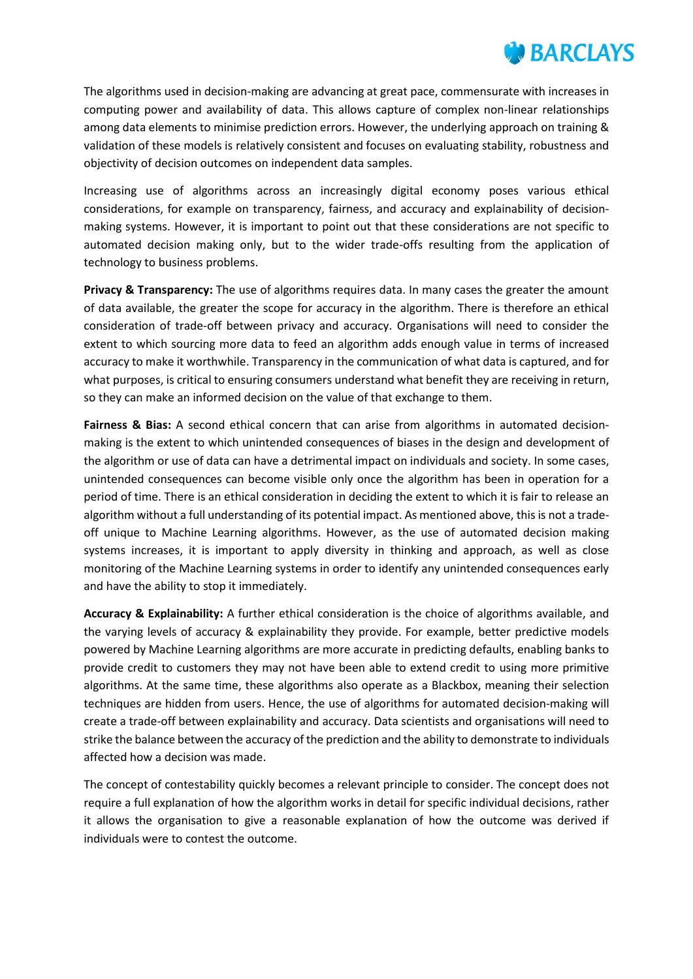

The algorithms used in decision-making are advancing at great pace, commensurate with increases in computing power and availability of data. This allows capture of complex non-linear relationships among data elements to minimise prediction errors. However, the underlying approach on training & validation of these models is relatively consistent and focuses on evaluating stability, robustness and objectivity of decision outcomes on independent data samples.

Increasing use of algorithms across an increasingly digital economy poses various ethical considerations, for example on transparency, fairness, and accuracy and explainability of decisionmaking systems. However, it is important to point out that these considerations are not specific to automated decision making only, but to the wider trade-offs resulting from the application of technology to business problems.

**Privacy & Transparency:** The use of algorithms requires data. In many cases the greater the amount of data available, the greater the scope for accuracy in the algorithm. There is therefore an ethical consideration of trade-off between privacy and accuracy. Organisations will need to consider the extent to which sourcing more data to feed an algorithm adds enough value in terms of increased accuracy to make it worthwhile. Transparency in the communication of what data is captured, and for what purposes, is critical to ensuring consumers understand what benefit they are receiving in return, so they can make an informed decision on the value of that exchange to them.

**Fairness & Bias:** A second ethical concern that can arise from algorithms in automated decisionmaking is the extent to which unintended consequences of biases in the design and development of the algorithm or use of data can have a detrimental impact on individuals and society. In some cases, unintended consequences can become visible only once the algorithm has been in operation for a period of time. There is an ethical consideration in deciding the extent to which it is fair to release an algorithm without a full understanding of its potential impact. As mentioned above, this is not a tradeoff unique to Machine Learning algorithms. However, as the use of automated decision making systems increases, it is important to apply diversity in thinking and approach, as well as close monitoring of the Machine Learning systems in order to identify any unintended consequences early and have the ability to stop it immediately.

**Accuracy & Explainability:** A further ethical consideration is the choice of algorithms available, and the varying levels of accuracy & explainability they provide. For example, better predictive models powered by Machine Learning algorithms are more accurate in predicting defaults, enabling banks to provide credit to customers they may not have been able to extend credit to using more primitive algorithms. At the same time, these algorithms also operate as a Blackbox, meaning their selection techniques are hidden from users. Hence, the use of algorithms for automated decision-making will create a trade-off between explainability and accuracy. Data scientists and organisations will need to strike the balance between the accuracy of the prediction and the ability to demonstrate to individuals affected how a decision was made.

The concept of contestability quickly becomes a relevant principle to consider. The concept does not require a full explanation of how the algorithm works in detail for specific individual decisions, rather it allows the organisation to give a reasonable explanation of how the outcome was derived if individuals were to contest the outcome.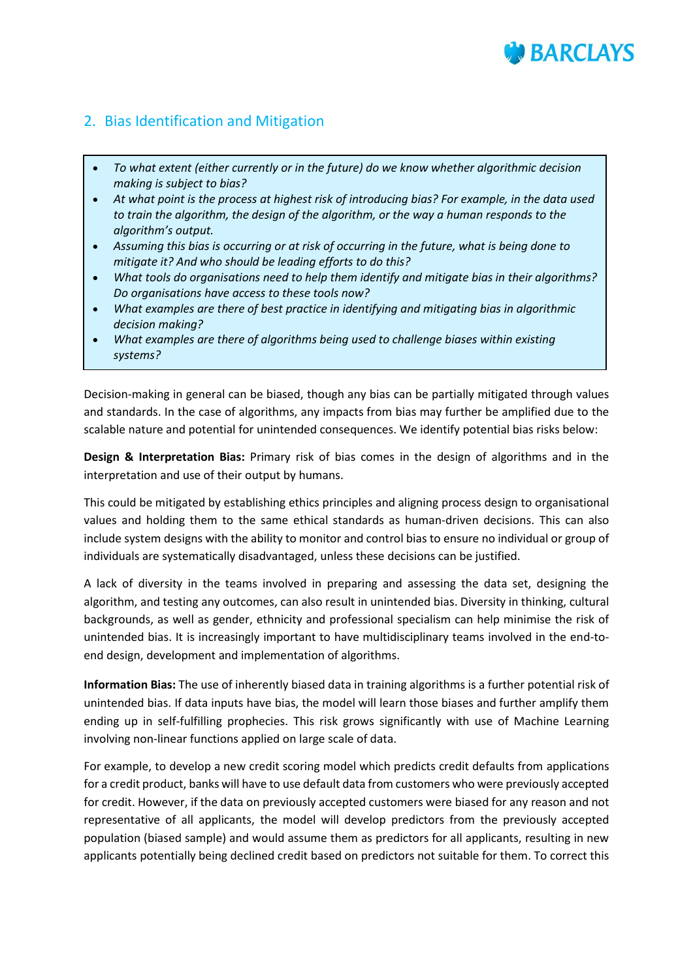# **BARCIAYS**

## 2. Bias Identification and Mitigation

ł

- *To what extent (either currently or in the future) do we know whether algorithmic decision making is subject to bias?*
- *At what point is the process at highest risk of introducing bias? For example, in the data used to train the algorithm, the design of the algorithm, or the way a human responds to the algorithm's output.*
- *Assuming this bias is occurring or at risk of occurring in the future, what is being done to mitigate it? And who should be leading efforts to do this?*
- *What tools do organisations need to help them identify and mitigate bias in their algorithms? Do organisations have access to these tools now?*
- *What examples are there of best practice in identifying and mitigating bias in algorithmic decision making?*
- *What examples are there of algorithms being used to challenge biases within existing systems?*

Decision-making in general can be biased, though any bias can be partially mitigated through values and standards. In the case of algorithms, any impacts from bias may further be amplified due to the scalable nature and potential for unintended consequences. We identify potential bias risks below:

**Design & Interpretation Bias:** Primary risk of bias comes in the design of algorithms and in the interpretation and use of their output by humans.

This could be mitigated by establishing ethics principles and aligning process design to organisational values and holding them to the same ethical standards as human-driven decisions. This can also include system designs with the ability to monitor and control bias to ensure no individual or group of individuals are systematically disadvantaged, unless these decisions can be justified.

A lack of diversity in the teams involved in preparing and assessing the data set, designing the algorithm, and testing any outcomes, can also result in unintended bias. Diversity in thinking, cultural backgrounds, as well as gender, ethnicity and professional specialism can help minimise the risk of unintended bias. It is increasingly important to have multidisciplinary teams involved in the end-toend design, development and implementation of algorithms.

**Information Bias:** The use of inherently biased data in training algorithms is a further potential risk of unintended bias. If data inputs have bias, the model will learn those biases and further amplify them ending up in self-fulfilling prophecies. This risk grows significantly with use of Machine Learning involving non-linear functions applied on large scale of data.

For example, to develop a new credit scoring model which predicts credit defaults from applications for a credit product, banks will have to use default data from customers who were previously accepted for credit. However, if the data on previously accepted customers were biased for any reason and not representative of all applicants, the model will develop predictors from the previously accepted population (biased sample) and would assume them as predictors for all applicants, resulting in new applicants potentially being declined credit based on predictors not suitable for them. To correct this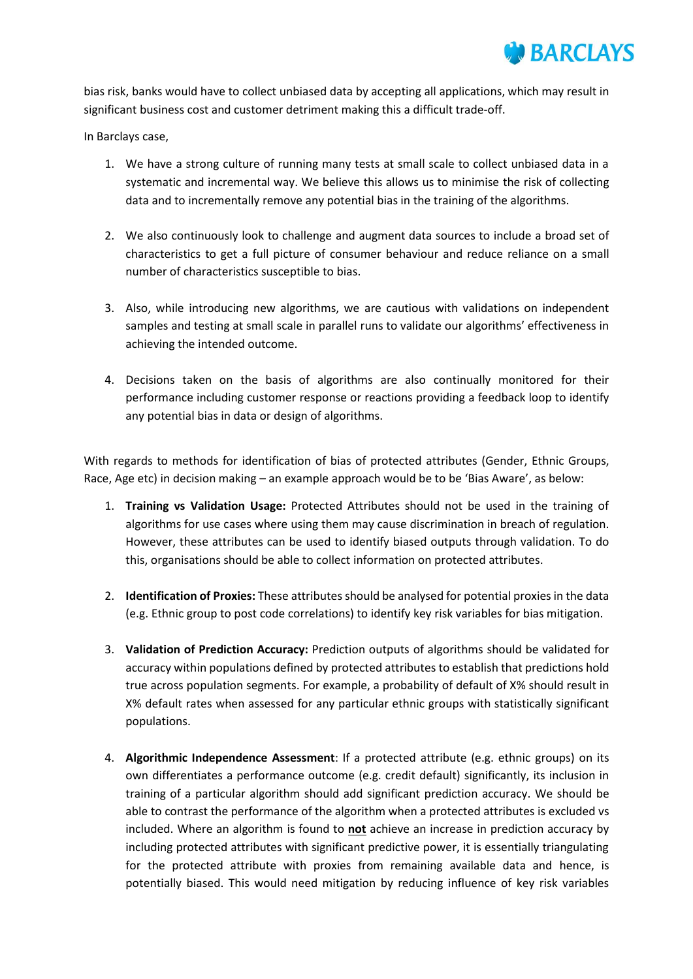

bias risk, banks would have to collect unbiased data by accepting all applications, which may result in significant business cost and customer detriment making this a difficult trade-off.

In Barclays case,

- 1. We have a strong culture of running many tests at small scale to collect unbiased data in a systematic and incremental way. We believe this allows us to minimise the risk of collecting data and to incrementally remove any potential bias in the training of the algorithms.
- 2. We also continuously look to challenge and augment data sources to include a broad set of characteristics to get a full picture of consumer behaviour and reduce reliance on a small number of characteristics susceptible to bias.
- 3. Also, while introducing new algorithms, we are cautious with validations on independent samples and testing at small scale in parallel runs to validate our algorithms' effectiveness in achieving the intended outcome.
- 4. Decisions taken on the basis of algorithms are also continually monitored for their performance including customer response or reactions providing a feedback loop to identify any potential bias in data or design of algorithms.

With regards to methods for identification of bias of protected attributes (Gender, Ethnic Groups, Race, Age etc) in decision making – an example approach would be to be 'Bias Aware', as below:

- 1. **Training vs Validation Usage:** Protected Attributes should not be used in the training of algorithms for use cases where using them may cause discrimination in breach of regulation. However, these attributes can be used to identify biased outputs through validation. To do this, organisations should be able to collect information on protected attributes.
- 2. **Identification of Proxies:** These attributes should be analysed for potential proxies in the data (e.g. Ethnic group to post code correlations) to identify key risk variables for bias mitigation.
- 3. **Validation of Prediction Accuracy:** Prediction outputs of algorithms should be validated for accuracy within populations defined by protected attributes to establish that predictions hold true across population segments. For example, a probability of default of X% should result in X% default rates when assessed for any particular ethnic groups with statistically significant populations.
- 4. **Algorithmic Independence Assessment**: If a protected attribute (e.g. ethnic groups) on its own differentiates a performance outcome (e.g. credit default) significantly, its inclusion in training of a particular algorithm should add significant prediction accuracy. We should be able to contrast the performance of the algorithm when a protected attributes is excluded vs included. Where an algorithm is found to **not** achieve an increase in prediction accuracy by including protected attributes with significant predictive power, it is essentially triangulating for the protected attribute with proxies from remaining available data and hence, is potentially biased. This would need mitigation by reducing influence of key risk variables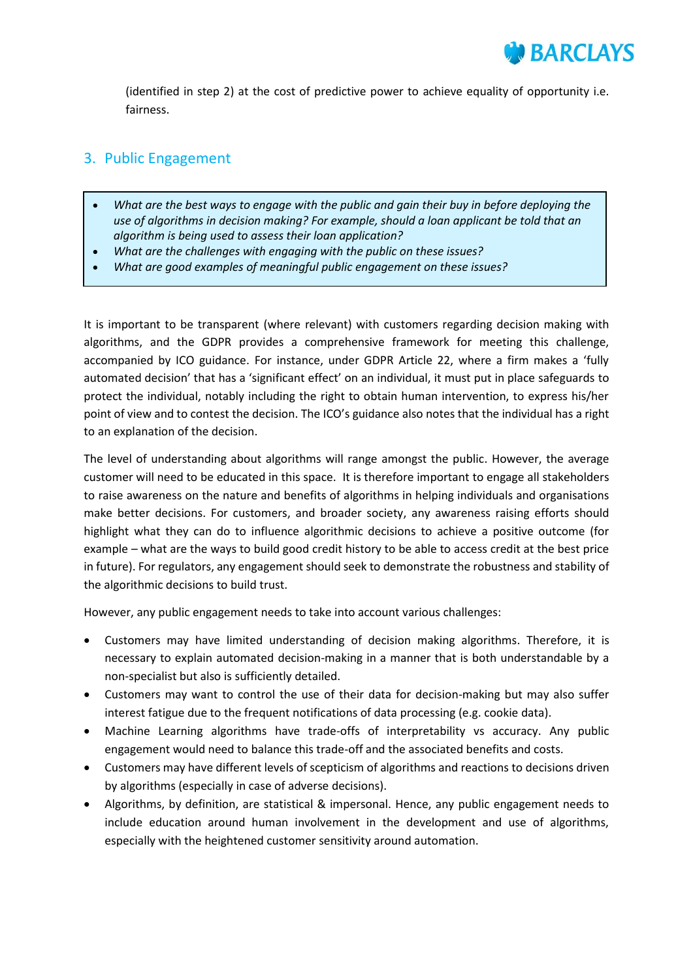(identified in step 2) at the cost of predictive power to achieve equality of opportunity i.e. fairness.

#### 3. Public Engagement

- *What are the best ways to engage with the public and gain their buy in before deploying the use of algorithms in decision making? For example, should a loan applicant be told that an algorithm is being used to assess their loan application?*
- *What are the challenges with engaging with the public on these issues?*
- *What are good examples of meaningful public engagement on these issues?*

It is important to be transparent (where relevant) with customers regarding decision making with algorithms, and the GDPR provides a comprehensive framework for meeting this challenge, accompanied by ICO guidance. For instance, under GDPR Article 22, where a firm makes a 'fully automated decision' that has a 'significant effect' on an individual, it must put in place safeguards to protect the individual, notably including the right to obtain human intervention, to express his/her point of view and to contest the decision. The ICO's guidance also notes that the individual has a right to an explanation of the decision.

The level of understanding about algorithms will range amongst the public. However, the average customer will need to be educated in this space. It is therefore important to engage all stakeholders to raise awareness on the nature and benefits of algorithms in helping individuals and organisations make better decisions. For customers, and broader society, any awareness raising efforts should highlight what they can do to influence algorithmic decisions to achieve a positive outcome (for example – what are the ways to build good credit history to be able to access credit at the best price in future). For regulators, any engagement should seek to demonstrate the robustness and stability of the algorithmic decisions to build trust.

However, any public engagement needs to take into account various challenges:

- Customers may have limited understanding of decision making algorithms. Therefore, it is necessary to explain automated decision-making in a manner that is both understandable by a non-specialist but also is sufficiently detailed.
- Customers may want to control the use of their data for decision-making but may also suffer interest fatigue due to the frequent notifications of data processing (e.g. cookie data).
- Machine Learning algorithms have trade-offs of interpretability vs accuracy. Any public engagement would need to balance this trade-off and the associated benefits and costs.
- Customers may have different levels of scepticism of algorithms and reactions to decisions driven by algorithms (especially in case of adverse decisions).
- Algorithms, by definition, are statistical & impersonal. Hence, any public engagement needs to include education around human involvement in the development and use of algorithms, especially with the heightened customer sensitivity around automation.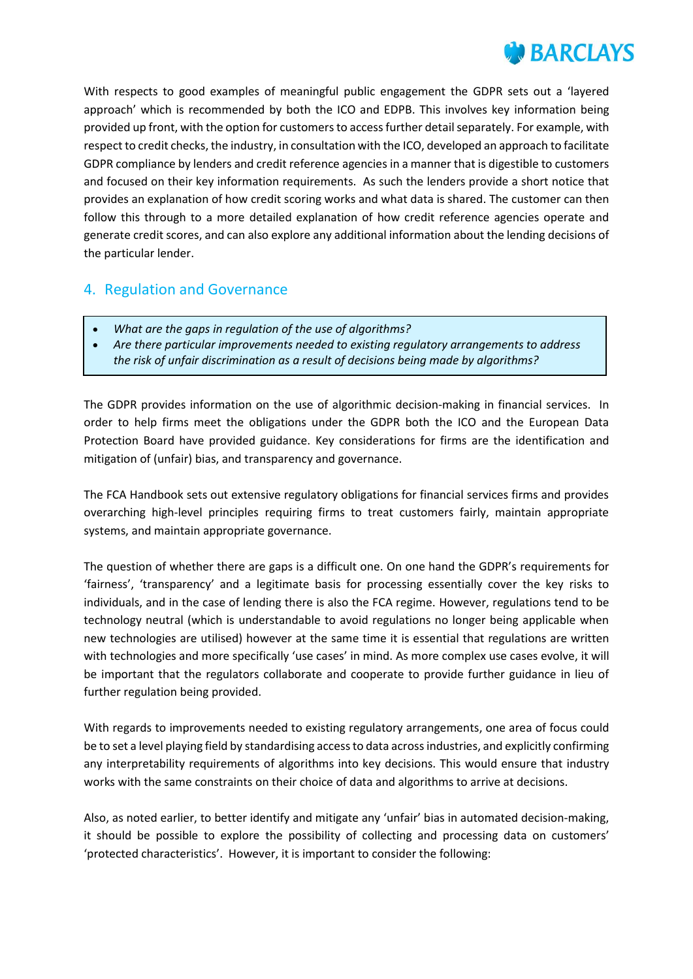

With respects to good examples of meaningful public engagement the GDPR sets out a 'layered approach' which is recommended by both the ICO and EDPB. This involves key information being provided up front, with the option for customers to access further detail separately. For example, with respect to credit checks, the industry, in consultation with the ICO, developed an approach to facilitate GDPR compliance by lenders and credit reference agencies in a manner that is digestible to customers and focused on their key information requirements. As such the lenders provide a short notice that provides an explanation of how credit scoring works and what data is shared. The customer can then follow this through to a more detailed explanation of how credit reference agencies operate and generate credit scores, and can also explore any additional information about the lending decisions of the particular lender.

#### 4. Regulation and Governance

- *What are the gaps in regulation of the use of algorithms?*
- *Are there particular improvements needed to existing regulatory arrangements to address the risk of unfair discrimination as a result of decisions being made by algorithms?*

The GDPR provides information on the use of algorithmic decision-making in financial services. In order to help firms meet the obligations under the GDPR both the ICO and the European Data Protection Board have provided guidance. Key considerations for firms are the identification and mitigation of (unfair) bias, and transparency and governance.

The FCA Handbook sets out extensive regulatory obligations for financial services firms and provides overarching high-level principles requiring firms to treat customers fairly, maintain appropriate systems, and maintain appropriate governance.

The question of whether there are gaps is a difficult one. On one hand the GDPR's requirements for 'fairness', 'transparency' and a legitimate basis for processing essentially cover the key risks to individuals, and in the case of lending there is also the FCA regime. However, regulations tend to be technology neutral (which is understandable to avoid regulations no longer being applicable when new technologies are utilised) however at the same time it is essential that regulations are written with technologies and more specifically 'use cases' in mind. As more complex use cases evolve, it will be important that the regulators collaborate and cooperate to provide further guidance in lieu of further regulation being provided.

With regards to improvements needed to existing regulatory arrangements, one area of focus could be to set a level playing field by standardising access to data across industries, and explicitly confirming any interpretability requirements of algorithms into key decisions. This would ensure that industry works with the same constraints on their choice of data and algorithms to arrive at decisions.

Also, as noted earlier, to better identify and mitigate any 'unfair' bias in automated decision-making, it should be possible to explore the possibility of collecting and processing data on customers' 'protected characteristics'. However, it is important to consider the following: